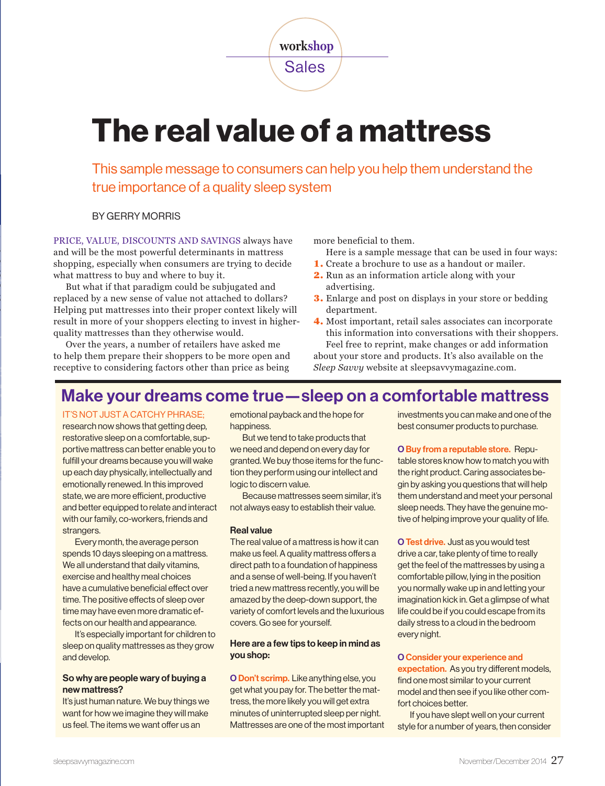**workshop** Sales

# The real value of a mattress

This sample message to consumers can help you help them understand the true importance of a quality sleep system

BY GERRY MORRIS

PRICE, VALUE, DISCOUNTS AND SAVINGS always have and will be the most powerful determinants in mattress shopping, especially when consumers are trying to decide what mattress to buy and where to buy it.

But what if that paradigm could be subjugated and replaced by a new sense of value not attached to dollars? Helping put mattresses into their proper context likely will result in more of your shoppers electing to invest in higherquality mattresses than they otherwise would.

Over the years, a number of retailers have asked me to help them prepare their shoppers to be more open and receptive to considering factors other than price as being

more beneficial to them.

Here is a sample message that can be used in four ways:

- 1. Create a brochure to use as a handout or mailer.
- 2. Run as an information article along with your advertising.
- 3. Enlarge and post on displays in your store or bedding department.

4. Most important, retail sales associates can incorporate this information into conversations with their shoppers. Feel free to reprint, make changes or add information about your store and products. It's also available on the

*Sleep Savvy* website at sleepsavvymagazine.com.

### Make your dreams come true—sleep on a comfortable mattress

IT'S NOT JUST A CATCHY PHRASE;

research now shows that getting deep, restorative sleep on a comfortable, supportive mattress can better enable you to fulfill your dreams because you will wake up each day physically, intellectually and emotionally renewed. In this improved state, we are more efficient, productive and better equipped to relate and interact with our family, co-workers, friends and strangers.

Every month, the average person spends 10 days sleeping on a mattress. We all understand that daily vitamins, exercise and healthy meal choices have a cumulative beneficial effect over time. The positive effects of sleep over time may have even more dramatic effects on our health and appearance.

It's especially important for children to sleep on quality mattresses as they grow and develop.

#### So why are people wary of buying a new mattress?

It's just human nature. We buy things we want for how we imagine they will make us feel. The items we want offer us an

emotional payback and the hope for happiness.

But we tend to take products that we need and depend on every day for granted. We buy those items for the function they perform using our intellect and logic to discern value.

Because mattresses seem similar, it's not always easy to establish their value.

#### Real value

The real value of a mattress is how it can make us feel. A quality mattress offers a direct path to a foundation of happiness and a sense of well-being. If you haven't tried a new mattress recently, you will be amazed by the deep-down support, the variety of comfort levels and the luxurious covers. Go see for yourself.

#### Here are a few tips to keep in mind as you shop:

O Don't scrimp. Like anything else, you get what you pay for. The better the mattress, the more likely you will get extra minutes of uninterrupted sleep per night. Mattresses are one of the most important investments you can make and one of the best consumer products to purchase.

O Buy from a reputable store. Repu-

table stores know how to match you with the right product. Caring associates begin by asking you questions that will help them understand and meet your personal sleep needs. They have the genuine motive of helping improve your quality of life.

O Test drive. Just as you would test drive a car, take plenty of time to really get the feel of the mattresses by using a comfortable pillow, lying in the position you normally wake up in and letting your imagination kick in. Get a glimpse of what life could be if you could escape from its daily stress to a cloud in the bedroom every night.

#### O Consider your experience and

expectation. As you try different models, find one most similar to your current model and then see if you like other comfort choices better.

If you have slept well on your current style for a number of years, then consider